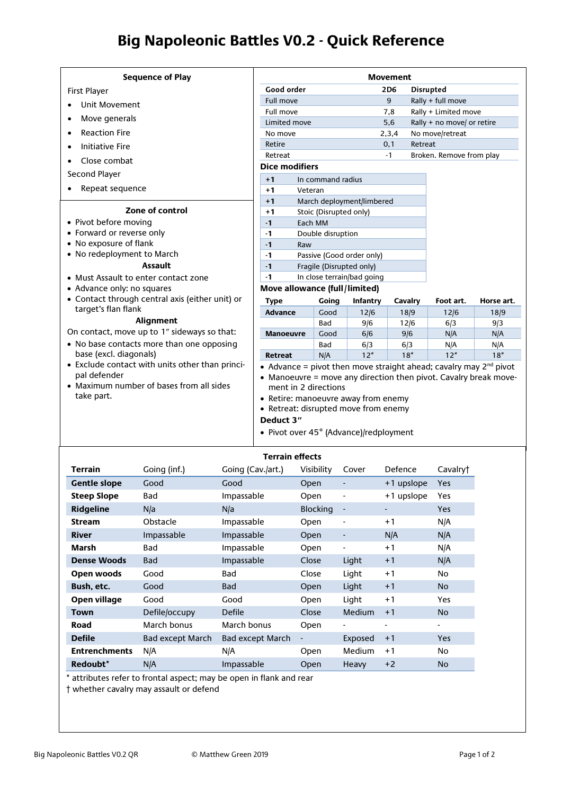## **Big Napoleonic Battles V0.2 - Quick Reference**

| <b>Sequence of Play</b>                                                                                                                                                                                                                                                                                                                                                                                                               |                                             |                                   |                            | <b>Movement</b> |                            |            |
|---------------------------------------------------------------------------------------------------------------------------------------------------------------------------------------------------------------------------------------------------------------------------------------------------------------------------------------------------------------------------------------------------------------------------------------|---------------------------------------------|-----------------------------------|----------------------------|-----------------|----------------------------|------------|
| First Player                                                                                                                                                                                                                                                                                                                                                                                                                          | Good order                                  |                                   |                            | 2D <sub>6</sub> | <b>Disrupted</b>           |            |
| Unit Movement                                                                                                                                                                                                                                                                                                                                                                                                                         | <b>Full move</b>                            |                                   |                            | 9               | Rally + full move          |            |
|                                                                                                                                                                                                                                                                                                                                                                                                                                       | Full move                                   |                                   |                            | 7,8             | Rally + Limited move       |            |
| Move generals<br>$\bullet$                                                                                                                                                                                                                                                                                                                                                                                                            | Limited move                                |                                   |                            | 5,6             | Rally + no move/ or retire |            |
| <b>Reaction Fire</b><br>$\bullet$                                                                                                                                                                                                                                                                                                                                                                                                     | No move                                     |                                   |                            | 2,3,4           | No move/retreat            |            |
| <b>Initiative Fire</b><br>$\bullet$                                                                                                                                                                                                                                                                                                                                                                                                   | Retire                                      |                                   |                            | 0,1             | Retreat                    |            |
| Close combat                                                                                                                                                                                                                                                                                                                                                                                                                          | Retreat                                     |                                   |                            | $-1$            | Broken. Remove from play   |            |
| Second Player                                                                                                                                                                                                                                                                                                                                                                                                                         | <b>Dice modifiers</b>                       |                                   |                            |                 |                            |            |
|                                                                                                                                                                                                                                                                                                                                                                                                                                       | $+1$                                        | In command radius                 |                            |                 |                            |            |
| Repeat sequence                                                                                                                                                                                                                                                                                                                                                                                                                       | $+1$<br>Veteran                             |                                   |                            |                 |                            |            |
| Zone of control                                                                                                                                                                                                                                                                                                                                                                                                                       | $+1$                                        |                                   | March deployment/limbered  |                 |                            |            |
| • Pivot before moving                                                                                                                                                                                                                                                                                                                                                                                                                 | $+1$<br>$-1$                                | Stoic (Disrupted only)<br>Each MM |                            |                 |                            |            |
| • Forward or reverse only                                                                                                                                                                                                                                                                                                                                                                                                             | $-1$                                        | Double disruption                 |                            |                 |                            |            |
| • No exposure of flank                                                                                                                                                                                                                                                                                                                                                                                                                | $-1$<br>Raw                                 |                                   |                            |                 |                            |            |
| • No redeployment to March                                                                                                                                                                                                                                                                                                                                                                                                            | $-1$                                        |                                   | Passive (Good order only)  |                 |                            |            |
| <b>Assault</b>                                                                                                                                                                                                                                                                                                                                                                                                                        | $-1$                                        | Fragile (Disrupted only)          |                            |                 |                            |            |
| • Must Assault to enter contact zone                                                                                                                                                                                                                                                                                                                                                                                                  | $-1$                                        |                                   | In close terrain/bad going |                 |                            |            |
| • Advance only: no squares                                                                                                                                                                                                                                                                                                                                                                                                            | Move allowance (full/limited)               |                                   |                            |                 |                            |            |
| • Contact through central axis (either unit) or                                                                                                                                                                                                                                                                                                                                                                                       | <b>Type</b>                                 | Going                             | Infantry                   | Cavalry         | Foot art.                  | Horse art. |
| target's flan flank                                                                                                                                                                                                                                                                                                                                                                                                                   | <b>Advance</b>                              | Good                              | 12/6                       | 18/9            | 12/6                       | 18/9       |
| Alignment                                                                                                                                                                                                                                                                                                                                                                                                                             |                                             | Bad                               | 9/6                        | 12/6            | 6/3                        | 9/3        |
| On contact, move up to 1" sideways so that:                                                                                                                                                                                                                                                                                                                                                                                           | <b>Manoeuvre</b>                            | Good                              | 6/6                        | 9/6             | N/A                        | N/A        |
| • No base contacts more than one opposing                                                                                                                                                                                                                                                                                                                                                                                             |                                             | Bad                               | 6/3                        | 6/3             | N/A                        | N/A        |
| base (excl. diagonals)                                                                                                                                                                                                                                                                                                                                                                                                                | <b>Retreat</b>                              | N/A                               | 12"                        | 18"             | 12"                        | 18"        |
| • Exclude contact with units other than princi-<br>• Advance = pivot then move straight ahead; cavalry may $2^{nd}$ pivot<br>pal defender<br>• Manoeuvre = move any direction then pivot. Cavalry break move-<br>• Maximum number of bases from all sides<br>ment in 2 directions<br>take part.<br>• Retire: manoeuvre away from enemy<br>• Retreat: disrupted move from enemy<br>Deduct 3"<br>• Pivot over 45° (Advance)/redployment |                                             |                                   |                            |                 |                            |            |
| <b>Terrain</b><br>Goina (inf.)                                                                                                                                                                                                                                                                                                                                                                                                        | <b>Terrain effects</b><br>Going (Cav./art.) | Visibility                        | Cover                      | Defence         | Cavalryt                   |            |

| <b>Terrain</b>       | Going (inf.)            | Going (Cav./art.)       | Visibility      | Cover                        | Defence    | Cavalry†   |
|----------------------|-------------------------|-------------------------|-----------------|------------------------------|------------|------------|
| <b>Gentle slope</b>  | Good                    | Good                    | Open            | $\qquad \qquad \blacksquare$ | +1 upslope | <b>Yes</b> |
| <b>Steep Slope</b>   | Bad                     | Impassable              | Open            | ۰                            | +1 upslope | Yes        |
| <b>Ridgeline</b>     | N/a                     | N/a                     | <b>Blocking</b> | $\blacksquare$               |            | <b>Yes</b> |
| <b>Stream</b>        | Obstacle                | Impassable              | Open            | ۰                            | $+1$       | N/A        |
| <b>River</b>         | Impassable              | Impassable              | Open            | $\qquad \qquad \blacksquare$ | N/A        | N/A        |
| Marsh                | Bad                     | Impassable              | Open            | $\blacksquare$               | $+1$       | N/A        |
| <b>Dense Woods</b>   | <b>Bad</b>              | Impassable              | Close           | Light                        | $+1$       | N/A        |
| Open woods           | Good                    | Bad                     | Close           | Light                        | $+1$       | No.        |
| Bush, etc.           | Good                    | <b>Bad</b>              | Open            | Light                        | $+1$       | <b>No</b>  |
| Open village         | Good                    | Good                    | Open            | Light                        | $+1$       | Yes        |
| <b>Town</b>          | Defile/occupy           | Defile                  | Close           | <b>Medium</b>                | $+1$       | No.        |
| Road                 | March bonus             | March bonus             | Open            |                              |            | ٠          |
| <b>Defile</b>        | <b>Bad except March</b> | <b>Bad except March</b> |                 | Exposed                      | $+1$       | <b>Yes</b> |
| <b>Entrenchments</b> | N/A                     | N/A                     | Open            | Medium                       | $+1$       | No.        |
| Redoubt*             | N/A                     | Impassable              | Open            | Heavy                        | $+2$       | <b>No</b>  |

\* attributes refer to frontal aspect; may be open in flank and rear

† whether cavalry may assault or defend